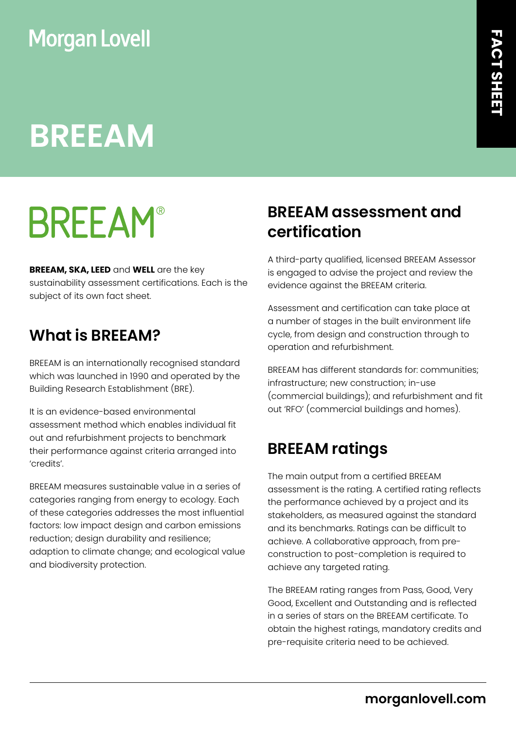### **Morgan Lovell**

## **BREEAM**

# **BREEAM®**

**BREEAM, SKA, LEED** and **WELL** are the key sustainability assessment certifications. Each is the subject of its own fact sheet.

#### **What is BREEAM?**

BREEAM is an internationally recognised standard which was launched in 1990 and operated by the Building Research Establishment (BRE).

It is an evidence-based environmental assessment method which enables individual fit out and refurbishment projects to benchmark their performance against criteria arranged into 'credits'.

BREEAM measures sustainable value in a series of categories ranging from energy to ecology. Each of these categories addresses the most influential factors: low impact design and carbon emissions reduction; design durability and resilience; adaption to climate change; and ecological value and biodiversity protection.

#### **BREEAM assessment and certification**

A third-party qualified, licensed BREEAM Assessor is engaged to advise the project and review the evidence against the BREEAM criteria.

Assessment and certification can take place at a number of stages in the built environment life cycle, from design and construction through to operation and refurbishment.

BREEAM has different standards for: communities; infrastructure; new construction; in-use (commercial buildings); and refurbishment and fit out 'RFO' (commercial buildings and homes).

#### **BREEAM ratings**

The main output from a certified BREEAM assessment is the rating. A certified rating reflects the performance achieved by a project and its stakeholders, as measured against the standard and its benchmarks. Ratings can be difficult to achieve. A collaborative approach, from preconstruction to post-completion is required to achieve any targeted rating.

The BREEAM rating ranges from Pass, Good, Very Good, Excellent and Outstanding and is reflected in a series of stars on the BREEAM certificate. To obtain the highest ratings, mandatory credits and pre-requisite criteria need to be achieved.